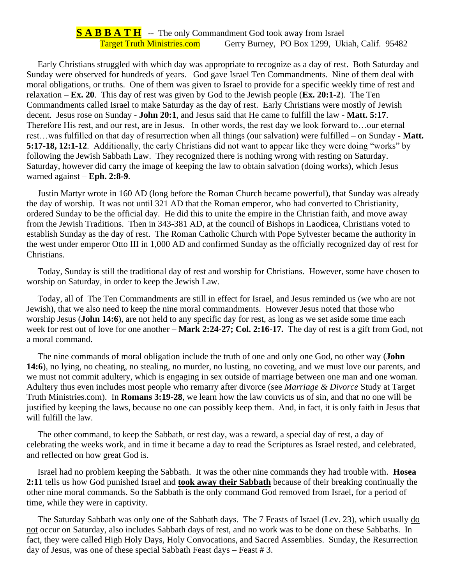## **S A B B A T H** -- The only Commandment God took away from Israel Target Truth Ministries.com Gerry Burney, PO Box 1299, Ukiah, Calif. 95482

 Early Christians struggled with which day was appropriate to recognize as a day of rest. Both Saturday and Sunday were observed for hundreds of years. God gave Israel Ten Commandments. Nine of them deal with moral obligations, or truths. One of them was given to Israel to provide for a specific weekly time of rest and relaxation – **Ex. 20**. This day of rest was given by God to the Jewish people (**Ex. 20:1-2**). The Ten Commandments called Israel to make Saturday as the day of rest. Early Christians were mostly of Jewish decent. Jesus rose on Sunday - **John 20:1**, and Jesus said that He came to fulfill the law - **Matt. 5:17**. Therefore His rest, and our rest, are in Jesus. In other words, the rest day we look forward to…our eternal rest…was fulfilled on that day of resurrection when all things (our salvation) were fulfilled – on Sunday - **Matt. 5:17-18, 12:1-12**. Additionally, the early Christians did not want to appear like they were doing "works" by following the Jewish Sabbath Law. They recognized there is nothing wrong with resting on Saturday. Saturday, however did carry the image of keeping the law to obtain salvation (doing works), which Jesus warned against – **Eph. 2:8-9**.

 Justin Martyr wrote in 160 AD (long before the Roman Church became powerful), that Sunday was already the day of worship. It was not until 321 AD that the Roman emperor, who had converted to Christianity, ordered Sunday to be the official day. He did this to unite the empire in the Christian faith, and move away from the Jewish Traditions. Then in 343-381 AD, at the council of Bishops in Laodicea, Christians voted to establish Sunday as the day of rest. The Roman Catholic Church with Pope Sylvester became the authority in the west under emperor Otto III in 1,000 AD and confirmed Sunday as the officially recognized day of rest for Christians.

 Today, Sunday is still the traditional day of rest and worship for Christians. However, some have chosen to worship on Saturday, in order to keep the Jewish Law.

 Today, all of The Ten Commandments are still in effect for Israel, and Jesus reminded us (we who are not Jewish), that we also need to keep the nine moral commandments. However Jesus noted that those who worship Jesus (**John 14:6**), are not held to any specific day for rest, as long as we set aside some time each week for rest out of love for one another – **Mark 2:24-27; Col. 2:16-17.** The day of rest is a gift from God, not a moral command.

 The nine commands of moral obligation include the truth of one and only one God, no other way (**John 14:6**), no lying, no cheating, no stealing, no murder, no lusting, no coveting, and we must love our parents, and we must not commit adultery, which is engaging in sex outside of marriage between one man and one woman. Adultery thus even includes most people who remarry after divorce (see *Marriage & Divorce* Study at Target Truth Ministries.com). In **Romans 3:19-28**, we learn how the law convicts us of sin, and that no one will be justified by keeping the laws, because no one can possibly keep them. And, in fact, it is only faith in Jesus that will fulfill the law.

 The other command, to keep the Sabbath, or rest day, was a reward, a special day of rest, a day of celebrating the weeks work, and in time it became a day to read the Scriptures as Israel rested, and celebrated, and reflected on how great God is.

 Israel had no problem keeping the Sabbath. It was the other nine commands they had trouble with. **Hosea 2:11** tells us how God punished Israel and **took away their Sabbath** because of their breaking continually the other nine moral commands. So the Sabbath is the only command God removed from Israel, for a period of time, while they were in captivity.

The Saturday Sabbath was only one of the Sabbath days. The 7 Feasts of Israel (Lev. 23), which usually do not occur on Saturday, also includes Sabbath days of rest, and no work was to be done on these Sabbaths. In fact, they were called High Holy Days, Holy Convocations, and Sacred Assemblies. Sunday, the Resurrection day of Jesus, was one of these special Sabbath Feast days – Feast # 3.